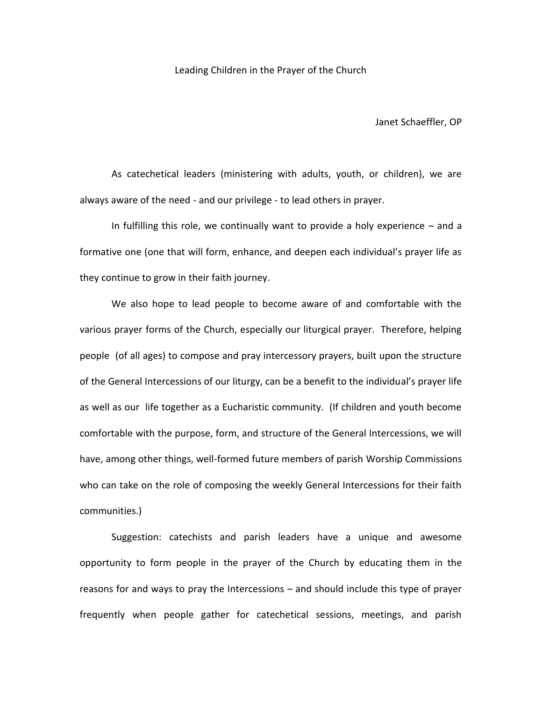Leading Children in the Prayer of the Church

Janet Schaeffler, OP

As catechetical leaders (ministering with adults, youth, or children), we are always aware of the need - and our privilege - to lead others in prayer.

In fulfilling this role, we continually want to provide a holy experience – and a formative one (one that will form, enhance, and deepen each individual's prayer life as they continue to grow in their faith journey.

We also hope to lead people to become aware of and comfortable with the various prayer forms of the Church, especially our liturgical prayer. Therefore, helping people (of all ages) to compose and pray intercessory prayers, built upon the structure of the General Intercessions of our liturgy, can be a benefit to the individual's prayer life as well as our life together as a Eucharistic community. (If children and youth become comfortable with the purpose, form, and structure of the General Intercessions, we will have, among other things, well-formed future members of parish Worship Commissions who can take on the role of composing the weekly General Intercessions for their faith communities.)

Suggestion: catechists and parish leaders have a unique and awesome opportunity to form people in the prayer of the Church by educating them in the reasons for and ways to pray the Intercessions – and should include this type of prayer frequently when people gather for catechetical sessions, meetings, and parish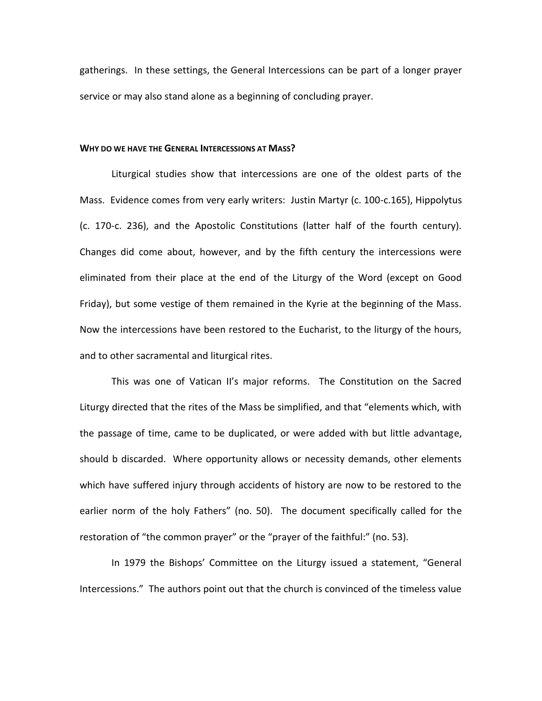gatherings. In these settings, the General Intercessions can be part of a longer prayer service or may also stand alone as a beginning of concluding prayer.

### **WHY DO WE HAVE THE GENERAL INTERCESSIONS AT MASS?**

Liturgical studies show that intercessions are one of the oldest parts of the Mass. Evidence comes from very early writers: Justin Martyr (c. 100-c.165), Hippolytus (c. 170-c. 236), and the Apostolic Constitutions (latter half of the fourth century). Changes did come about, however, and by the fifth century the intercessions were eliminated from their place at the end of the Liturgy of the Word (except on Good Friday), but some vestige of them remained in the Kyrie at the beginning of the Mass. Now the intercessions have been restored to the Eucharist, to the liturgy of the hours, and to other sacramental and liturgical rites.

This was one of Vatican II's major reforms. The Constitution on the Sacred Liturgy directed that the rites of the Mass be simplified, and that "elements which, with the passage of time, came to be duplicated, or were added with but little advantage, should b discarded. Where opportunity allows or necessity demands, other elements which have suffered injury through accidents of history are now to be restored to the earlier norm of the holy Fathers" (no. 50). The document specifically called for the restoration of "the common prayer" or the "prayer of the faithful:" (no. 53).

In 1979 the Bishops' Committee on the Liturgy issued a statement, "General Intercessions." The authors point out that the church is convinced of the timeless value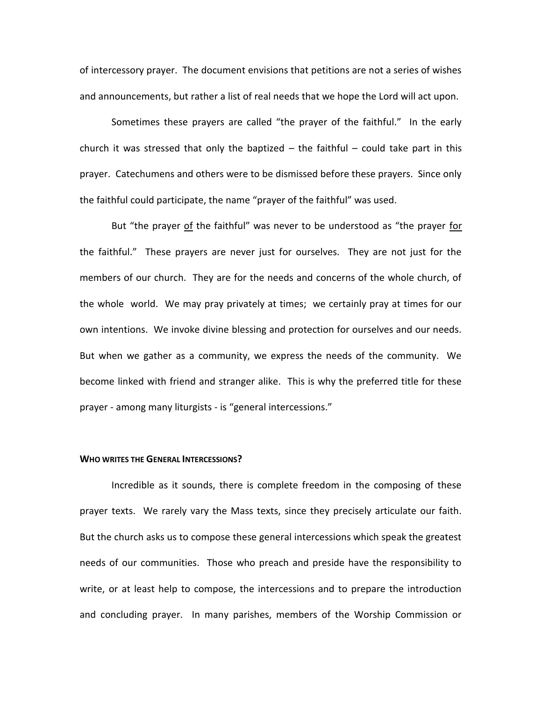of intercessory prayer. The document envisions that petitions are not a series of wishes and announcements, but rather a list of real needs that we hope the Lord will act upon.

Sometimes these prayers are called "the prayer of the faithful." In the early church it was stressed that only the baptized  $-$  the faithful  $-$  could take part in this prayer. Catechumens and others were to be dismissed before these prayers. Since only the faithful could participate, the name "prayer of the faithful" was used.

But "the prayer of the faithful" was never to be understood as "the prayer for the faithful." These prayers are never just for ourselves. They are not just for the members of our church. They are for the needs and concerns of the whole church, of the whole world. We may pray privately at times; we certainly pray at times for our own intentions. We invoke divine blessing and protection for ourselves and our needs. But when we gather as a community, we express the needs of the community. We become linked with friend and stranger alike. This is why the preferred title for these prayer - among many liturgists - is "general intercessions."

## **WHO WRITES THE GENERAL INTERCESSIONS?**

Incredible as it sounds, there is complete freedom in the composing of these prayer texts. We rarely vary the Mass texts, since they precisely articulate our faith. But the church asks us to compose these general intercessions which speak the greatest needs of our communities. Those who preach and preside have the responsibility to write, or at least help to compose, the intercessions and to prepare the introduction and concluding prayer. In many parishes, members of the Worship Commission or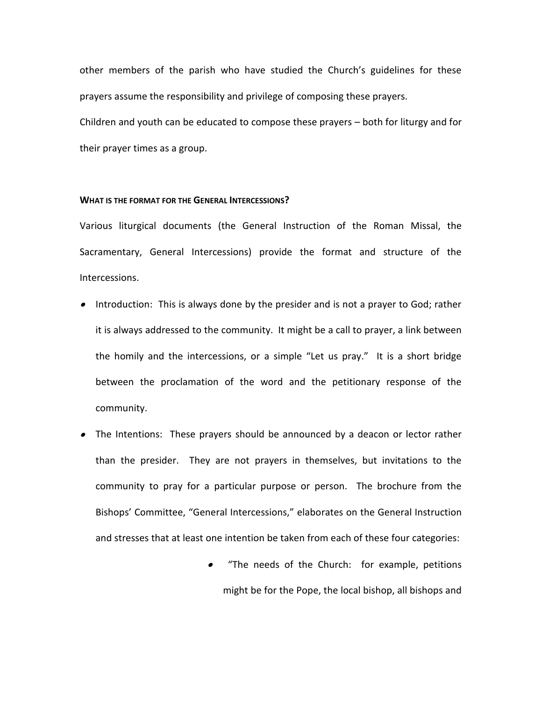other members of the parish who have studied the Church's guidelines for these prayers assume the responsibility and privilege of composing these prayers.

Children and youth can be educated to compose these prayers – both for liturgy and for their prayer times as a group.

## **WHAT IS THE FORMAT FOR THE GENERAL INTERCESSIONS?**

Various liturgical documents (the General Instruction of the Roman Missal, the Sacramentary, General Intercessions) provide the format and structure of the Intercessions.

- Introduction: This is always done by the presider and is not a prayer to God; rather it is always addressed to the community. It might be a call to prayer, a link between the homily and the intercessions, or a simple "Let us pray." It is a short bridge between the proclamation of the word and the petitionary response of the community.
- The Intentions: These prayers should be announced by a deacon or lector rather than the presider. They are not prayers in themselves, but invitations to the community to pray for a particular purpose or person. The brochure from the Bishops' Committee, "General Intercessions," elaborates on the General Instruction and stresses that at least one intention be taken from each of these four categories:
	- "The needs of the Church: for example, petitions might be for the Pope, the local bishop, all bishops and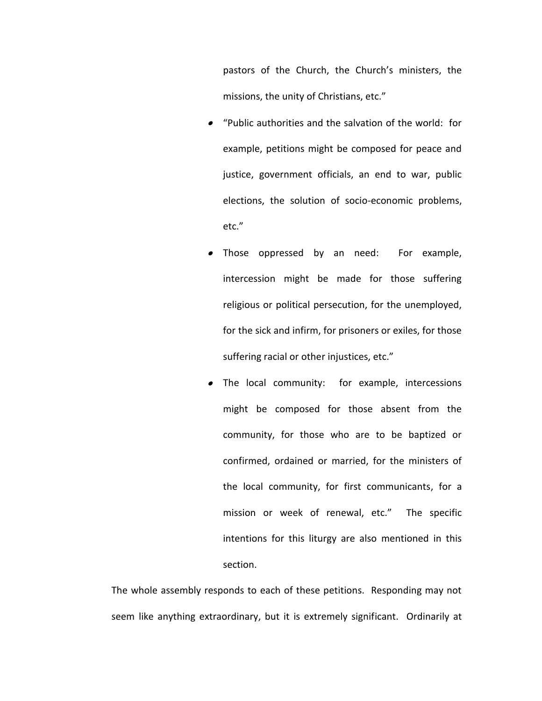pastors of the Church, the Church's ministers, the missions, the unity of Christians, etc."

- "Public authorities and the salvation of the world: for example, petitions might be composed for peace and justice, government officials, an end to war, public elections, the solution of socio-economic problems, etc."
- Those oppressed by an need: For example, intercession might be made for those suffering religious or political persecution, for the unemployed, for the sick and infirm, for prisoners or exiles, for those suffering racial or other injustices, etc."
- The local community: for example, intercessions might be composed for those absent from the community, for those who are to be baptized or confirmed, ordained or married, for the ministers of the local community, for first communicants, for a mission or week of renewal, etc." The specific intentions for this liturgy are also mentioned in this section.

The whole assembly responds to each of these petitions. Responding may not seem like anything extraordinary, but it is extremely significant. Ordinarily at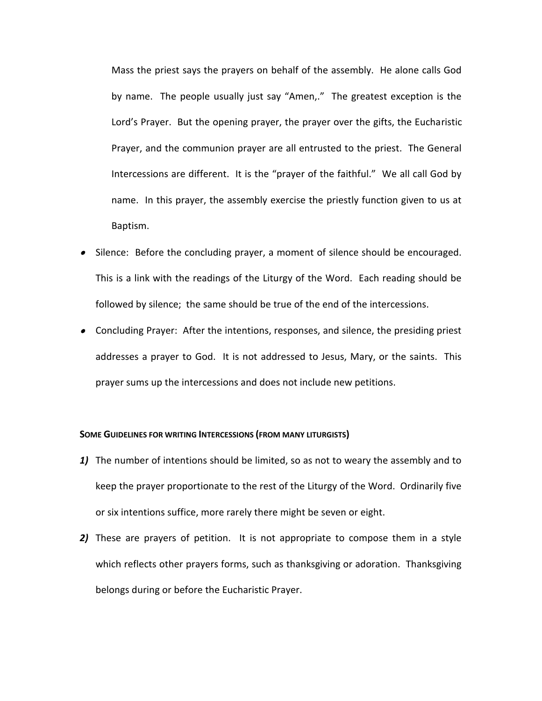Mass the priest says the prayers on behalf of the assembly. He alone calls God by name. The people usually just say "Amen,." The greatest exception is the Lord's Prayer. But the opening prayer, the prayer over the gifts, the Eucharistic Prayer, and the communion prayer are all entrusted to the priest. The General Intercessions are different. It is the "prayer of the faithful." We all call God by name. In this prayer, the assembly exercise the priestly function given to us at Baptism.

- Silence: Before the concluding prayer, a moment of silence should be encouraged. This is a link with the readings of the Liturgy of the Word. Each reading should be followed by silence; the same should be true of the end of the intercessions.
- Concluding Prayer: After the intentions, responses, and silence, the presiding priest addresses a prayer to God. It is not addressed to Jesus, Mary, or the saints. This prayer sums up the intercessions and does not include new petitions.

#### **SOME GUIDELINES FOR WRITING INTERCESSIONS (FROM MANY LITURGISTS)**

- *1)* The number of intentions should be limited, so as not to weary the assembly and to keep the prayer proportionate to the rest of the Liturgy of the Word. Ordinarily five or six intentions suffice, more rarely there might be seven or eight.
- *2)* These are prayers of petition. It is not appropriate to compose them in a style which reflects other prayers forms, such as thanksgiving or adoration. Thanksgiving belongs during or before the Eucharistic Prayer.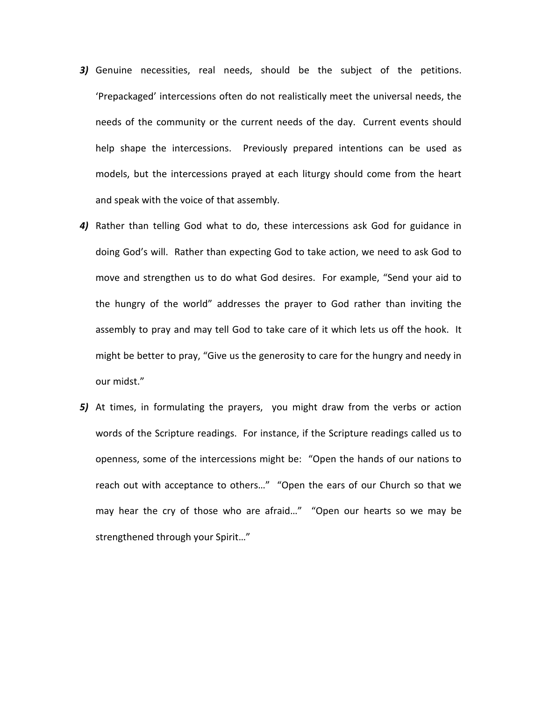- *3)* Genuine necessities, real needs, should be the subject of the petitions. 'Prepackaged' intercessions often do not realistically meet the universal needs, the needs of the community or the current needs of the day. Current events should help shape the intercessions. Previously prepared intentions can be used as models, but the intercessions prayed at each liturgy should come from the heart and speak with the voice of that assembly.
- *4)* Rather than telling God what to do, these intercessions ask God for guidance in doing God's will. Rather than expecting God to take action, we need to ask God to move and strengthen us to do what God desires. For example, "Send your aid to the hungry of the world" addresses the prayer to God rather than inviting the assembly to pray and may tell God to take care of it which lets us off the hook. It might be better to pray, "Give us the generosity to care for the hungry and needy in our midst."
- *5)* At times, in formulating the prayers, you might draw from the verbs or action words of the Scripture readings. For instance, if the Scripture readings called us to openness, some of the intercessions might be: "Open the hands of our nations to reach out with acceptance to others…" "Open the ears of our Church so that we may hear the cry of those who are afraid…" "Open our hearts so we may be strengthened through your Spirit…"